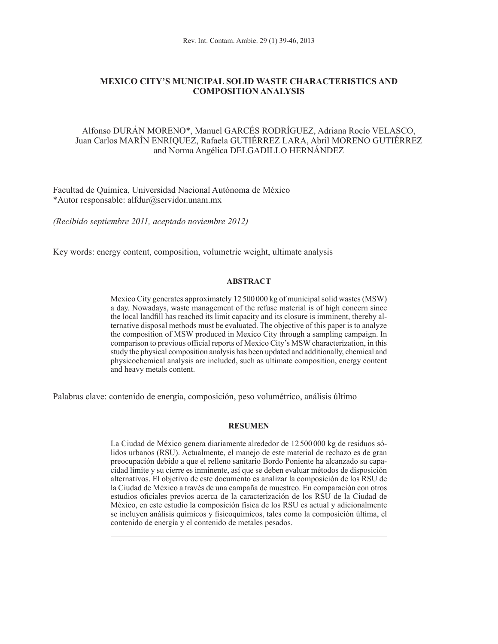# **MEXICO CITY'S MUNICIPAL SOLID WASTE CHARACTERISTICS AND COMPOSITION ANALYSIS**

# Alfonso DURÁN MORENO\*, Manuel GARCÉS RODRÍGUEZ, Adriana Rocío VELASCO, Juan Carlos MARÍN ENRIQUEZ, Rafaela GUTIÉRREZ LARA, Abril MORENO GUTIÉRREZ and Norma Angélica DELGADILLO HERNÁNDEZ

Facultad de Química, Universidad Nacional Autónoma de México \*Autor responsable: alfdur@servidor.unam.mx

*(Recibido septiembre 2011, aceptado noviembre 2012)*

Key words: energy content, composition, volumetric weight, ultimate analysis

## **ABSTRACT**

Mexico City generates approximately 12500 000 kg of municipal solid wastes (MSW) a day. Nowadays, waste management of the refuse material is of high concern since the local landfill has reached its limit capacity and its closure is imminent, thereby alternative disposal methods must be evaluated. The objective of this paper is to analyze the composition of MSW produced in Mexico City through a sampling campaign. In comparison to previous official reports of Mexico City's MSW characterization, in this study the physical composition analysis has been updated and additionally, chemical and physicochemical analysis are included, such as ultimate composition, energy content and heavy metals content.

Palabras clave: contenido de energía, composición, peso volumétrico, análisis último

## **RESUMEN**

La Ciudad de México genera diariamente alrededor de 12500000 kg de residuos sólidos urbanos (RSU). Actualmente, el manejo de este material de rechazo es de gran preocupación debido a que el relleno sanitario Bordo Poniente ha alcanzado su capacidad límite y su cierre es inminente, así que se deben evaluar métodos de disposición alternativos. El objetivo de este documento es analizar la composición de los RSU de la Ciudad de México a través de una campaña de muestreo. En comparación con otros estudios oficiales previos acerca de la caracterización de los RSU de la Ciudad de México, en este estudio la composición física de los RSU es actual y adicionalmente se incluyen análisis químicos y fisicoquímicos, tales como la composición última, el contenido de energía y el contenido de metales pesados.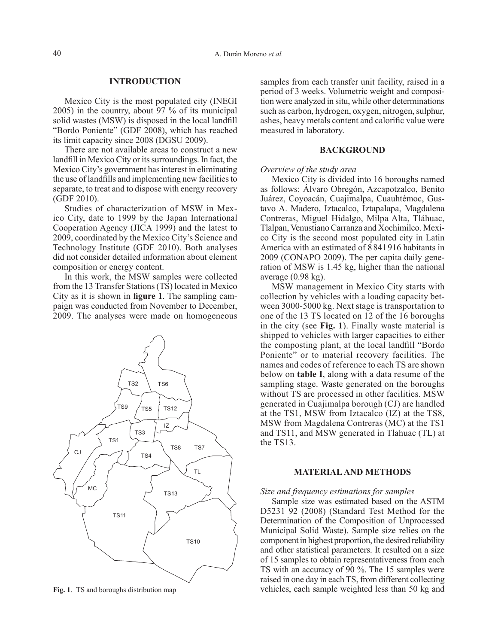## **INTRODUCTION**

Mexico City is the most populated city (INEGI 2005) in the country, about 97 % of its municipal solid wastes (MSW) is disposed in the local landfill "Bordo Poniente" (GDF 2008), which has reached its limit capacity since 2008 (DGSU 2009).

There are not available areas to construct a new landfill in Mexico City or its surroundings. In fact, the Mexico City's government has interest in eliminating the use of landfills and implementing new facilities to separate, to treat and to dispose with energy recovery (GDF 2010).

Studies of characterization of MSW in Mexico City, date to 1999 by the Japan International Cooperation Agency (JICA 1999) and the latest to 2009, coordinated by the Mexico City's Science and Technology Institute (GDF 2010). Both analyses did not consider detailed information about element composition or energy content.

In this work, the MSW samples were collected from the 13 Transfer Stations (TS) located in Mexico City as it is shown in **figure 1**. The sampling campaign was conducted from November to December, 2009. The analyses were made on homogeneous



samples from each transfer unit facility, raised in a period of 3 weeks. Volumetric weight and composition were analyzed in situ, while other determinations such as carbon, hydrogen, oxygen, nitrogen, sulphur, ashes, heavy metals content and calorific value were measured in laboratory.

### **BACKGROUND**

## *Overview of the study area*

Mexico City is divided into 16 boroughs named as follows: Álvaro Obregón, Azcapotzalco, Benito Juárez, Coyoacán, Cuajimalpa, Cuauhtémoc, Gustavo A. Madero, Iztacalco, Iztapalapa, Magdalena Contreras, Miguel Hidalgo, Milpa Alta, Tláhuac, Tlalpan, Venustiano Carranza and Xochimilco. Mexico City is the second most populated city in Latin America with an estimated of 8841916 habitants in 2009 (CONAPO 2009). The per capita daily generation of MSW is 1.45 kg, higher than the national average (0.98 kg).

MSW management in Mexico City starts with collection by vehicles with a loading capacity between 3000-5000 kg. Next stage is transportation to one of the 13 TS located on 12 of the 16 boroughs in the city (see **Fig. 1**). Finally waste material is shipped to vehicles with larger capacities to either the composting plant, at the local landfill "Bordo Poniente" or to material recovery facilities. The names and codes of reference to each TS are shown below on **table I**, along with a data resume of the sampling stage. Waste generated on the boroughs without TS are processed in other facilities. MSW generated in Cuajimalpa borough (CJ) are handled at the TS1, MSW from Iztacalco (IZ) at the TS8, MSW from Magdalena Contreras (MC) at the TS1 and TS11, and MSW generated in Tlahuac (TL) at the TS13.

#### **MATERIAL AND METHODS**

## *Size and frequency estimations for samples*

Sample size was estimated based on the ASTM D5231 92 (2008) (Standard Test Method for the Determination of the Composition of Unprocessed Municipal Solid Waste). Sample size relies on the component in highest proportion, the desired reliability and other statistical parameters. It resulted on a size of 15 samples to obtain representativeness from each TS with an accuracy of 90 %. The 15 samples were raised in one day in each TS, from different collecting **Fig. 1**. TS and boroughs distribution map vehicles, each sample weighted less than 50 kg and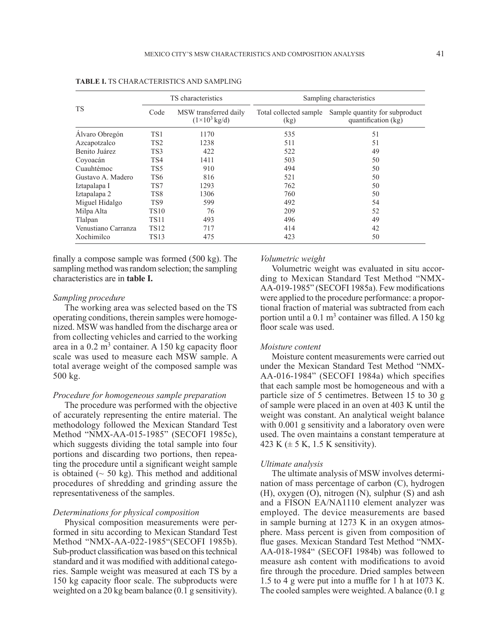|                     |                                                               | TS characteristics | Sampling characteristics       |                                                       |  |  |  |  |  |
|---------------------|---------------------------------------------------------------|--------------------|--------------------------------|-------------------------------------------------------|--|--|--|--|--|
| <b>TS</b>           | MSW transferred daily<br>Code<br>$(1\times10^3 \text{ kg/d})$ |                    | Total collected sample<br>(kg) | Sample quantity for subproduct<br>quantification (kg) |  |  |  |  |  |
| Alvaro Obregón      | TS1                                                           | 1170               | 535                            | 51                                                    |  |  |  |  |  |
| Azcapotzalco        | TS <sub>2</sub>                                               | 1238               | 511                            | 51                                                    |  |  |  |  |  |
| Benito Juárez       | TS3                                                           | 422                | 522                            | 49                                                    |  |  |  |  |  |
| Coyoacán            | TS4                                                           | 1411               | 503                            | 50                                                    |  |  |  |  |  |
| Cuauhtémoc          | TS5                                                           | 910                | 494                            | 50                                                    |  |  |  |  |  |
| Gustavo A. Madero   | TS6                                                           | 816                | 521                            | 50                                                    |  |  |  |  |  |
| Iztapalapa I        | TS7                                                           | 1293               | 762                            | 50                                                    |  |  |  |  |  |
| Iztapalapa 2        | TS8                                                           | 1306               | 760                            | 50                                                    |  |  |  |  |  |
| Miguel Hidalgo      | TS9                                                           | 599                | 492                            | 54                                                    |  |  |  |  |  |
| Milpa Alta          | <b>TS10</b>                                                   | 76                 | 209                            | 52                                                    |  |  |  |  |  |
| Tlalpan             | <b>TS11</b>                                                   | 493                | 496                            | 49                                                    |  |  |  |  |  |
| Venustiano Carranza | <b>TS12</b>                                                   | 717                | 414                            | 42                                                    |  |  |  |  |  |
| Xochimilco          | <b>TS13</b>                                                   | 475                | 423                            | 50                                                    |  |  |  |  |  |

**TABLE I.** TS CHARACTERISTICS AND SAMPLING

finally a compose sample was formed (500 kg). The sampling method was random selection; the sampling characteristics are in **table I.**

### *Sampling procedure*

The working area was selected based on the TS operating conditions, therein samples were homogenized. MSW was handled from the discharge area or from collecting vehicles and carried to the working area in a  $0.2 \text{ m}^3$  container. A 150 kg capacity floor scale was used to measure each MSW sample. A total average weight of the composed sample was 500 kg.

## *Procedure for homogeneous sample preparation*

The procedure was performed with the objective of accurately representing the entire material. The methodology followed the Mexican Standard Test Method "NMX-AA-015-1985" (SECOFI 1985c), which suggests dividing the total sample into four portions and discarding two portions, then repeating the procedure until a significant weight sample is obtained  $(~50 \text{ kg})$ . This method and additional procedures of shredding and grinding assure the representativeness of the samples.

#### *Determinations for physical composition*

Physical composition measurements were performed in situ according to Mexican Standard Test Method "NMX-AA-022-1985"(SECOFI 1985b). Sub-product classification was based on this technical standard and it was modified with additional categories. Sample weight was measured at each TS by a 150 kg capacity floor scale. The subproducts were weighted on a 20 kg beam balance (0.1 g sensitivity).

#### *Volumetric weight*

Volumetric weight was evaluated in situ according to Mexican Standard Test Method "NMX-AA-019-1985" (SECOFI 1985a). Few modifications were applied to the procedure performance: a proportional fraction of material was subtracted from each portion until a  $0.1 \text{ m}^3$  container was filled. A 150 kg floor scale was used.

#### *Moisture content*

Moisture content measurements were carried out under the Mexican Standard Test Method "NMX-AA-016-1984" (SECOFI 1984a) which specifies that each sample most be homogeneous and with a particle size of 5 centimetres. Between 15 to 30 g of sample were placed in an oven at 403 K until the weight was constant. An analytical weight balance with 0.001 g sensitivity and a laboratory oven were used. The oven maintains a constant temperature at 423 K  $(\pm 5$  K, 1.5 K sensitivity).

#### *Ultimate analysis*

The ultimate analysis of MSW involves determination of mass percentage of carbon (C), hydrogen (H), oxygen (O), nitrogen (N), sulphur (S) and ash and a FISON EA/NA1110 element analyzer was employed. The device measurements are based in sample burning at 1273 K in an oxygen atmosphere. Mass percent is given from composition of flue gases. Mexican Standard Test Method "NMX-AA-018-1984" (SECOFI 1984b) was followed to measure ash content with modifications to avoid fire through the procedure. Dried samples between 1.5 to 4 g were put into a muffle for 1 h at 1073 K. The cooled samples were weighted. A balance (0.1 g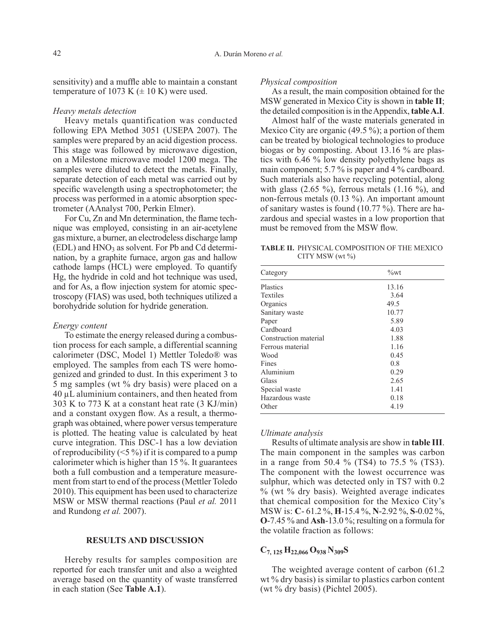sensitivity) and a muffle able to maintain a constant temperature of 1073 K  $(\pm 10 \text{ K})$  were used.

## *Heavy metals detection*

Heavy metals quantification was conducted following EPA Method 3051 (USEPA 2007). The samples were prepared by an acid digestion process. This stage was followed by microwave digestion, on a Milestone microwave model 1200 mega. The samples were diluted to detect the metals. Finally, separate detection of each metal was carried out by specific wavelength using a spectrophotometer; the process was performed in a atomic absorption spectrometer (AAnalyst 700, Perkin Elmer).

For Cu, Zn and Mn determination, the flame technique was employed, consisting in an air-acetylene gas mixture, a burner, an electrodeless discharge lamp  $(EDL)$  and  $HNO<sub>3</sub>$  as solvent. For Pb and Cd determination, by a graphite furnace, argon gas and hallow cathode lamps (HCL) were employed. To quantify Hg, the hydride in cold and hot technique was used, and for As, a flow injection system for atomic spectroscopy (FIAS) was used, both techniques utilized a borohydride solution for hydride generation.

### *Energy content*

To estimate the energy released during a combustion process for each sample, a differential scanning calorimeter (DSC, Model 1) Mettler Toledo® was employed. The samples from each TS were homogenized and grinded to dust. In this experiment 3 to 5 mg samples (wt % dry basis) were placed on a 40 µL aluminium containers, and then heated from 303 K to 773 K at a constant heat rate (3 KJ/min) and a constant oxygen flow. As a result, a thermograph was obtained, where power versus temperature is plotted. The heating value is calculated by heat curve integration. This DSC-1 has a low deviation of reproducibility  $(\leq 5\%)$  if it is compared to a pump calorimeter which is higher than 15 %. It guarantees both a full combustion and a temperature measurement from start to end of the process (Mettler Toledo 2010). This equipment has been used to characterize MSW or MSW thermal reactions (Paul *et al.* 2011 and Rundong *et al.* 2007).

## **RESULTS AND DISCUSSION**

Hereby results for samples composition are reported for each transfer unit and also a weighted average based on the quantity of waste transferred in each station (See **Table A.1**).

### *Physical composition*

As a result, the main composition obtained for the MSW generated in Mexico City is shown in **table II**; the detailed composition is in the Appendix, **table A.I**.

Almost half of the waste materials generated in Mexico City are organic (49.5 %); a portion of them can be treated by biological technologies to produce biogas or by composting. About 13.16 % are plastics with 6.46 % low density polyethylene bags as main component; 5.7 % is paper and 4 % cardboard. Such materials also have recycling potential, along with glass  $(2.65 \%)$ , ferrous metals  $(1.16 \%)$ , and non-ferrous metals (0.13 %). An important amount of sanitary wastes is found (10.77 %). There are hazardous and special wastes in a low proportion that must be removed from the MSW flow.

**TABLE II.** PHYSICAL COMPOSITION OF THE MEXICO CITY MSW (wt %)

| Category              | $\%$ wt |
|-----------------------|---------|
| <b>Plastics</b>       | 13.16   |
| <b>Textiles</b>       | 3.64    |
| Organics              | 49.5    |
| Sanitary waste        | 10.77   |
| Paper                 | 5.89    |
| Cardboard             | 4.03    |
| Construction material | 1.88    |
| Ferrous material      | 1.16    |
| Wood                  | 0.45    |
| Fines                 | 0.8     |
| Aluminium             | 0.29    |
| Glass                 | 2.65    |
| Special waste         | 1.41    |
| Hazardous waste       | 0.18    |
| Other                 | 4.19    |

## *Ultimate analysis*

Results of ultimate analysis are show in **table III**. The main component in the samples was carbon in a range from 50.4 % (TS4) to 75.5 % (TS3). The component with the lowest occurrence was sulphur, which was detected only in TS7 with 0.2 % (wt % dry basis). Weighted average indicates that chemical composition for the Mexico City's MSW is: **C**- 61.2 %, **H**-15.4 %, **N**-2.92 %, **S**-0.02 %, **O**-7.45 % and **Ash**-13.0 %; resulting on a formula for the volatile fraction as follows:

# **C7, 125 H22,066 O938 N309S**

The weighted average content of carbon (61.2 wt % dry basis) is similar to plastics carbon content (wt % dry basis) (Pichtel 2005).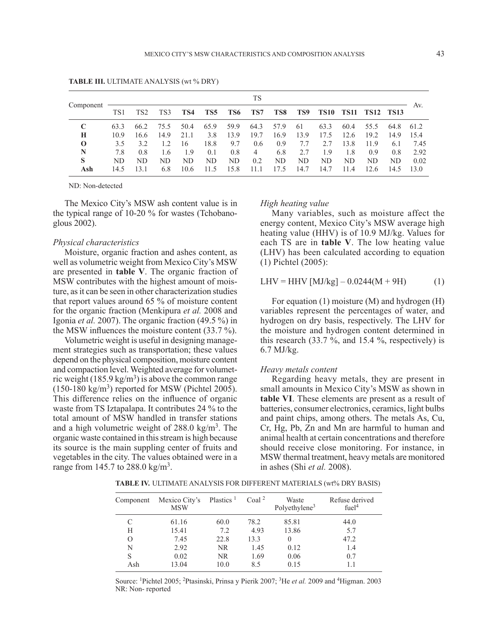|             |      |                 |      |      |                 |      | TS             |      |      |             |             |             |             |      |
|-------------|------|-----------------|------|------|-----------------|------|----------------|------|------|-------------|-------------|-------------|-------------|------|
| Component   | TS1  | TS <sub>2</sub> | TS3  | TS4  | TS <sub>5</sub> | TS6  | TS7            | TS8  | TS9  | <b>TS10</b> | <b>TS11</b> | <b>TS12</b> | <b>TS13</b> | Av.  |
| $\mathbf C$ | 63.3 | 66.2            | 75.5 | 50.4 | 65.9            | 59.9 | 64.3           | 57.9 | 61   | 63.3        | 60.4        | 55.5        | 64.8        | 61.2 |
| H           | 10.9 | 16.6            | 14.9 | 21.1 | 3.8             | 13.9 | 19.7           | 16.9 | 13.9 | 17.5        | 12.6        | 19.2        | 14.9        | 15.4 |
| $\bf{0}$    | 3.5  | 3.2             | 12   | 16   | 18.8            | 9.7  | 0.6            | 0.9  | 7.7  | 2.7         | 13.8        | 11.9        | 6.1         | 7.45 |
| N           | 7.8  | 0.8             | 1.6  | 1.9  | 0.1             | 0.8  | $\overline{4}$ | 6.8  | 2.7  | 1.9         | 1.8         | 0.9         | 0.8         | 2.92 |
| S           | ND.  | ND              | ND.  | ND   | ND.             | ND.  | 0.2            | ND   | ND.  | ND          | ND.         | ND          | ND.         | 0.02 |
| Ash         | 14.5 | 3.1             | 6.8  | 10.6 | 11.5            | 15.8 | 11.1           | 17.5 | 14.7 | 14.7        | 11.4        | 12.6        | 14.5        | 13.0 |

**TABLE III.** ULTIMATE ANALYSIS (wt % DRY)

ND: Non-detected

The Mexico City's MSW ash content value is in the typical range of 10-20 % for wastes (Tchobanoglous 2002).

## *Physical characteristics*

Moisture, organic fraction and ashes content, as well as volumetric weight from Mexico City's MSW are presented in **table V**. The organic fraction of MSW contributes with the highest amount of moisture, as it can be seen in other characterization studies that report values around 65 % of moisture content for the organic fraction (Menkipura *et al.* 2008 and Igonia *et al.* 2007). The organic fraction (49.5 %) in the MSW influences the moisture content (33.7 %).

Volumetric weight is useful in designing management strategies such as transportation; these values depend on the physical composition, moisture content and compaction level. Weighted average for volumetric weight (185.9 kg/m<sup>3</sup>) is above the common range  $(150-180 \text{ kg/m}^3)$  reported for MSW (Pichtel 2005). This difference relies on the influence of organic waste from TS Iztapalapa. It contributes 24 % to the total amount of MSW handled in transfer stations and a high volumetric weight of  $288.0 \text{ kg/m}^3$ . The organic waste contained in this stream is high because its source is the main suppling center of fruits and vegetables in the city. The values obtained were in a range from 145.7 to 288.0 kg/m<sup>3</sup>.

#### *High heating value*

Many variables, such as moisture affect the energy content, Mexico City's MSW average high heating value (HHV) is of 10.9 MJ/kg. Values for each TS are in **table V**. The low heating value (LHV) has been calculated according to equation (1) Pichtel (2005):

$$
LHV = HHV [MJ/kg] - 0.0244(M + 9H)
$$
 (1)

For equation (1) moisture (M) and hydrogen (H) variables represent the percentages of water, and hydrogen on dry basis, respectively. The LHV for the moisture and hydrogen content determined in this research  $(33.7 \text{ %}, \text{ and } 15.4 \text{ %}, \text{ respectively})$  is 6.7 MJ/kg.

#### *Heavy metals content*

Regarding heavy metals, they are present in small amounts in Mexico City's MSW as shown in **table VI**. These elements are present as a result of batteries, consumer electronics, ceramics, light bulbs and paint chips, among others. The metals As, Cu, Cr, Hg, Pb, Zn and Mn are harmful to human and animal health at certain concentrations and therefore should receive close monitoring. For instance, in MSW thermal treatment, heavy metals are monitored in ashes (Shi *et al.* 2008).

**TABLE IV.** ULTIMATE ANALYSIS FOR DIFFERENT MATERIALS (wt% DRY BASIS)

| Component | Mexico City's<br><b>MSW</b> | Plastics <sup>1</sup> | Coal $2$ | Waste<br>Polyethylene <sup>3</sup> | Refuse derived<br>fuel <sup>4</sup> |
|-----------|-----------------------------|-----------------------|----------|------------------------------------|-------------------------------------|
| C         | 61.16                       | 60.0                  | 78.2     | 85.81                              | 44.0                                |
| H         | 15.41                       | 7.2                   | 4.93     | 13.86                              | 5.7                                 |
| $\Omega$  | 7.45                        | 22.8                  | 13.3     | $\Omega$                           | 47.2                                |
| N         | 2.92                        | NR.                   | 1.45     | 0.12                               | 1.4                                 |
| S         | 0.02                        | NR.                   | 1.69     | 0.06                               | 0.7                                 |
| Ash       | 13.04                       | 10.0                  | 8.5      | 0.15                               |                                     |

Source: 1Pichtel 2005; 2Ptasinski, Prinsa y Pierik 2007; 3He *et al.* 2009 and 4Higman. 2003 NR: Non- reported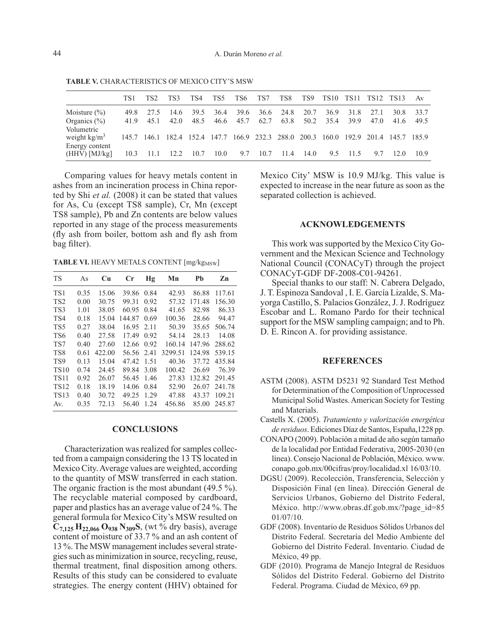|                                     | TS1  | TS <sub>2</sub> | TS3  | TS4  | TS5  | TS6     | TS7      | TS8                                                                                 | TS9  | TS10 |      | TS11 TS12 TS13 |      | Av   |
|-------------------------------------|------|-----------------|------|------|------|---------|----------|-------------------------------------------------------------------------------------|------|------|------|----------------|------|------|
| Moisture $(\% )$                    | 49.8 | 27.5            | 14.6 | 39.5 | 36.4 | 39.6    |          | 36.6 24.8                                                                           | 20.7 | 36.9 | 31.8 | 27.1           | 30.8 | 33.7 |
| Organics $(\% )$                    | 419  | 45 1            | 42.0 | 48.5 | 46.6 | $-45.7$ | 62.7     | 63.8                                                                                | 50.2 | 35.4 | 39.9 | 47.0           | 41.6 | 49.5 |
| Volumetric<br>weight $kg/m3$        |      |                 |      |      |      |         |          | 145.7 146.1 182.4 152.4 147.7 166.9 232.3 288.0 200.3 160.0 192.9 201.4 145.7 185.9 |      |      |      |                |      |      |
| Energy content<br>$(HHV)$ $[MJ/kg]$ | 10.3 | 11.1            | 12.2 | 10.7 | 10.0 |         | 9.7 10.7 | 11.4                                                                                | 14.0 | 9.5  | 11.5 | 97             | 12.0 | 10.9 |

**TABLE V.** CHARACTERISTICS OF MEXICO CITY'S MSW

Comparing values for heavy metals content in ashes from an incineration process in China reported by Shi *et al.* (2008) it can be stated that values for As, Cu (except TS8 sample), Cr, Mn (except TS8 sample), Pb and Zn contents are below values reported in any stage of the process measurements (fly ash from boiler, bottom ash and fly ash from bag filter).

TABLE VI. HEAVY METALS CONTENT [mg/kg<sub>MSW</sub>]

| <b>TS</b>       | As   | Cu     | Cr     | Ηg   | Mn      | Pb     | Zn     |
|-----------------|------|--------|--------|------|---------|--------|--------|
| TS1             | 0.35 | 15.06  | 39.86  | 0.84 | 42.93   | 86.88  | 117.61 |
| TS <sub>2</sub> | 0.00 | 30.75  | 99.31  | 0.92 | 57.32   | 171.48 | 156.30 |
| TS3             | 1.01 | 38.05  | 60.95  | 0.84 | 41.65   | 82.98  | 86.33  |
| TS4             | 0.18 | 15.04  | 144.87 | 0.69 | 100.36  | 28.66  | 94.47  |
| TS <sub>5</sub> | 0.27 | 38.04  | 16.95  | 2.11 | 50.39   | 35.65  | 506.74 |
| TS6             | 0.40 | 27.58  | 17.49  | 0.92 | 54.14   | 28.13  | 14.08  |
| TS7             | 0.40 | 27.60  | 12.66  | 0.92 | 160.14  | 147.96 | 288.62 |
| TS <sub>8</sub> | 0.61 | 422.00 | 56.56  | 2.41 | 3299.51 | 124.98 | 539.15 |
| TS <sub>9</sub> | 0.13 | 15.04  | 47.42  | 1.51 | 40.36   | 37.72  | 435.84 |
| <b>TS10</b>     | 0.74 | 24.45  | 89.84  | 3.08 | 100.42  | 26.69  | 76.39  |
| <b>TS11</b>     | 0.92 | 26.07  | 56.45  | 1.46 | 27.83   | 132.82 | 291.45 |
| <b>TS12</b>     | 0.18 | 18.19  | 14.06  | 0.84 | 52.90   | 26.07  | 241.78 |
| <b>TS13</b>     | 0.40 | 30.72  | 49.25  | 1.29 | 47.88   | 43.37  | 109.21 |
| Av.             | 0.35 | 72.13  | 56.40  | 1.24 | 456.86  | 85.00  | 245.87 |

## **CONCLUSIONS**

Characterization was realized for samples collected from a campaign considering the 13 TS located in Mexico City. Average values are weighted, according to the quantity of MSW transferred in each station. The organic fraction is the most abundant (49.5 %). The recyclable material composed by cardboard, paper and plastics has an average value of 24 %. The general formula for Mexico City's MSW resulted on **C7,125 H22,066 O938 N309S**, (wt % dry basis), average content of moisture of 33.7 % and an ash content of 13 %. The MSW management includes several strategies such as minimization in source, recycling, reuse, thermal treatment, final disposition among others. Results of this study can be considered to evaluate strategies. The energy content (HHV) obtained for

Mexico City' MSW is 10.9 MJ/kg. This value is expected to increase in the near future as soon as the separated collection is achieved.

## **ACKNOWLEDGEMENTS**

This work was supported by the Mexico City Government and the Mexican Science and Technology National Council (CONACyT) through the project CONACyT-GDF DF-2008-C01-94261.

Special thanks to our staff: N. Cabrera Delgado, J. T. Espinoza Sandoval , I. E. García Lizalde, S. Mayorga Castillo, S. Palacios González, J. J. Rodríguez Escobar and L. Romano Pardo for their technical support for the MSW sampling campaign; and to Ph. D. E. Rincon A. for providing assistance.

## **REFERENCES**

- ASTM (2008). ASTM D5231 92 Standard Test Method for Determination of the Composition of Unprocessed Municipal Solid Wastes. American Society for Testing and Materials.
- Castells X. (2005). *Tratamiento y valorización energética de residuos*. Ediciones Díaz de Santos, España,1228 pp.
- CONAPO (2009). Población a mitad de año según tamaño de la localidad por Entidad Federativa, 2005-2030 (en línea). Consejo Nacional de Población, México. www. conapo.gob.mx/00cifras/proy/localidad.xl 16/03/10.
- DGSU (2009). Recolección, Transferencia, Selección y Disposición Final (en línea). Dirección General de Servicios Urbanos, Gobierno del Distrito Federal, México. http://www.obras.df.gob.mx/?page\_id=85 01/07/10.
- GDF (2008). Inventario de Residuos Sólidos Urbanos del Distrito Federal. Secretaría del Medio Ambiente del Gobierno del Distrito Federal. Inventario. Ciudad de México, 49 pp.
- GDF (2010). Programa de Manejo Integral de Residuos Sólidos del Distrito Federal. Gobierno del Distrito Federal. Programa. Ciudad de México, 69 pp.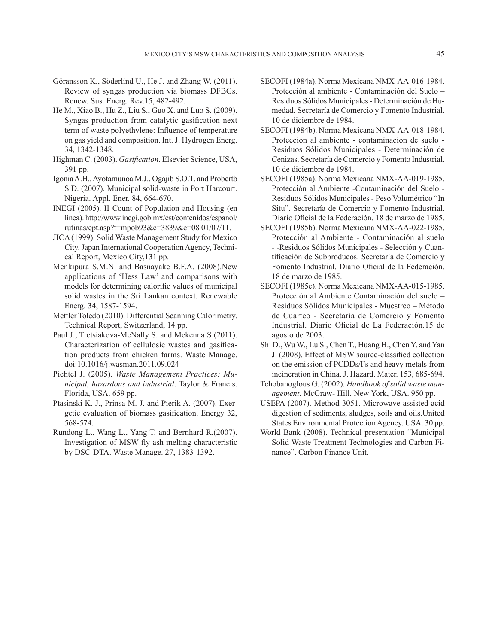- Göransson K., Söderlind U., He J. and Zhang W. (2011). Review of syngas production via biomass DFBGs. Renew. Sus. Energ. Rev.15, 482-492.
- He M., Xiao B., Hu Z., Liu S., Guo X. and Luo S. (2009). Syngas production from catalytic gasification next term of waste polyethylene: Influence of temperature on gas yield and composition. Int. J. Hydrogen Energ. 34, 1342-1348.
- Highman C. (2003). *Gasification*. Elsevier Science, USA, 391 pp.
- Igonia A.H., Ayotamunoa M.J., Ogajib S.O.T. and Probertb S.D. (2007). Municipal solid-waste in Port Harcourt. Nigeria. Appl. Ener. 84, 664-670.
- INEGI (2005). II Count of Population and Housing (en línea). http://www.inegi.gob.mx/est/contenidos/espanol/ rutinas/ept.asp?t=mpob93&c=3839&e=08 01/07/11.
- JICA (1999). Solid Waste Management Study for Mexico City. Japan International Cooperation Agency, Technical Report, Mexico City,131 pp.
- Menkipura S.M.N. and Basnayake B.F.A. (2008).New applications of 'Hess Law' and comparisons with models for determining calorific values of municipal solid wastes in the Sri Lankan context. Renewable Energ. 34, 1587-1594.
- Mettler Toledo (2010). Differential Scanning Calorimetry. Technical Report, Switzerland, 14 pp.
- Paul J., Tretsiakova-McNally S. and Mckenna S (2011). Characterization of cellulosic wastes and gasification products from chicken farms. Waste Manage. doi:10.1016/j.wasman.2011.09.024
- Pichtel J. (2005). *Waste Management Practices: Municipal, hazardous and industrial*. Taylor & Francis. Florida, USA. 659 pp.
- Ptasinski K. J., Prinsa M. J. and Pierik A. (2007). Exergetic evaluation of biomass gasification. Energy 32, 568-574.
- Rundong L., Wang L., Yang T. and Bernhard R.(2007). Investigation of MSW fly ash melting characteristic by DSC-DTA. Waste Manage. 27, 1383-1392.
- SECOFI (1984a). Norma Mexicana NMX-AA-016-1984. Protección al ambiente - Contaminación del Suelo – Residuos Sólidos Municipales - Determinación de Humedad. Secretaría de Comercio y Fomento Industrial. 10 de diciembre de 1984.
- SECOFI (1984b). Norma Mexicana NMX-AA-018-1984. Protección al ambiente - contaminación de suelo - Residuos Sólidos Municipales - Determinación de Cenizas. Secretaría de Comercio y Fomento Industrial. 10 de diciembre de 1984.
- SECOFI (1985a). Norma Mexicana NMX-AA-019-1985. Protección al Ambiente -Contaminación del Suelo - Residuos Sólidos Municipales - Peso Volumétrico "In Situ". Secretaría de Comercio y Fomento Industrial. Diario Oficial de la Federación. 18 de marzo de 1985.
- SECOFI (1985b). Norma Mexicana NMX-AA-022-1985. Protección al Ambiente - Contaminación al suelo - -Residuos Sólidos Municipales - Selección y Cuantificación de Subproducos. Secretaría de Comercio y Fomento Industrial. Diario Oficial de la Federación. 18 de marzo de 1985.
- SECOFI (1985c). Norma Mexicana NMX-AA-015-1985. Protección al Ambiente Contaminación del suelo – Residuos Sólidos Municipales - Muestreo – Método de Cuarteo - Secretaría de Comercio y Fomento Industrial. Diario Oficial de La Federación.15 de agosto de 2003.
- Shi D., Wu W., Lu S., Chen T., Huang H., Chen Y. and Yan J. (2008). Effect of MSW source-classified collection on the emission of PCDDs/Fs and heavy metals from incineration in China. J. Hazard. Mater. 153, 685-694.
- Tchobanoglous G. (2002). *Handbook of solid waste management*. McGraw- Hill. New York, USA. 950 pp.
- USEPA (2007). Method 3051. Microwave assisted acid digestion of sediments, sludges, soils and oils.United States Environmental Protection Agency. USA. 30 pp.
- World Bank (2008). Technical presentation "Municipal Solid Waste Treatment Technologies and Carbon Finance". Carbon Finance Unit.